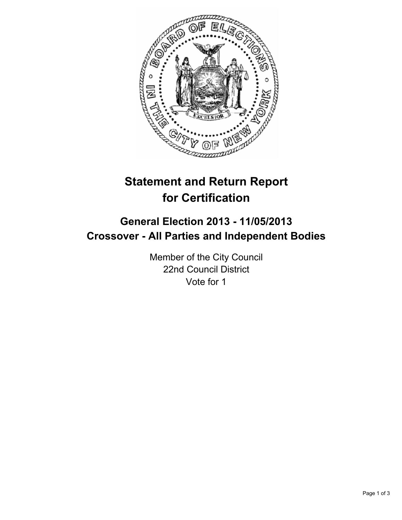

# **Statement and Return Report for Certification**

## **General Election 2013 - 11/05/2013 Crossover - All Parties and Independent Bodies**

Member of the City Council 22nd Council District Vote for 1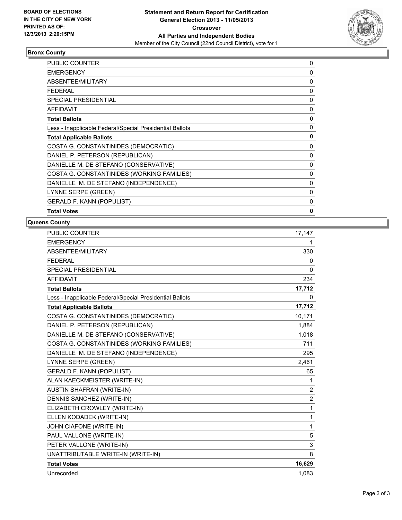

## **Bronx County**

| <b>PUBLIC COUNTER</b>                                    | $\mathbf{0}$ |
|----------------------------------------------------------|--------------|
| <b>EMERGENCY</b>                                         | 0            |
| ABSENTEE/MILITARY                                        | 0            |
| FEDERAL                                                  | 0            |
| <b>SPECIAL PRESIDENTIAL</b>                              | 0            |
| <b>AFFIDAVIT</b>                                         | $\mathbf{0}$ |
| <b>Total Ballots</b>                                     | 0            |
| Less - Inapplicable Federal/Special Presidential Ballots | 0            |
| <b>Total Applicable Ballots</b>                          | 0            |
| COSTA G. CONSTANTINIDES (DEMOCRATIC)                     | 0            |
| DANIEL P. PETERSON (REPUBLICAN)                          | 0            |
| DANIELLE M. DE STEFANO (CONSERVATIVE)                    | $\mathbf{0}$ |
| COSTA G. CONSTANTINIDES (WORKING FAMILIES)               | 0            |
| DANIELLE M. DE STEFANO (INDEPENDENCE)                    | 0            |
| LYNNE SERPE (GREEN)                                      | 0            |
| <b>GERALD F. KANN (POPULIST)</b>                         | $\mathbf{0}$ |
| <b>Total Votes</b>                                       | 0            |

### **Queens County**

| <b>PUBLIC COUNTER</b>                                    | 17,147         |
|----------------------------------------------------------|----------------|
| <b>EMERGENCY</b>                                         | 1              |
| ABSENTEE/MILITARY                                        | 330            |
| <b>FEDERAL</b>                                           | 0              |
| <b>SPECIAL PRESIDENTIAL</b>                              | 0              |
| <b>AFFIDAVIT</b>                                         | 234            |
| <b>Total Ballots</b>                                     | 17,712         |
| Less - Inapplicable Federal/Special Presidential Ballots | 0              |
| <b>Total Applicable Ballots</b>                          | 17,712         |
| COSTA G. CONSTANTINIDES (DEMOCRATIC)                     | 10,171         |
| DANIEL P. PETERSON (REPUBLICAN)                          | 1,884          |
| DANIELLE M. DE STEFANO (CONSERVATIVE)                    | 1,018          |
| COSTA G. CONSTANTINIDES (WORKING FAMILIES)               | 711            |
| DANIELLE M. DE STEFANO (INDEPENDENCE)                    | 295            |
| LYNNE SERPE (GREEN)                                      | 2,461          |
| <b>GERALD F. KANN (POPULIST)</b>                         | 65             |
| ALAN KAECKMEISTER (WRITE-IN)                             | 1              |
| <b>AUSTIN SHAFRAN (WRITE-IN)</b>                         | $\overline{2}$ |
| DENNIS SANCHEZ (WRITE-IN)                                | $\overline{2}$ |
| ELIZABETH CROWLEY (WRITE-IN)                             | $\mathbf{1}$   |
| ELLEN KODADEK (WRITE-IN)                                 | $\mathbf{1}$   |
| JOHN CIAFONE (WRITE-IN)                                  | $\mathbf{1}$   |
| PAUL VALLONE (WRITE-IN)                                  | 5              |
| PETER VALLONE (WRITE-IN)                                 | 3              |
| UNATTRIBUTABLE WRITE-IN (WRITE-IN)                       | 8              |
| <b>Total Votes</b>                                       | 16,629         |
| Unrecorded                                               | 1,083          |